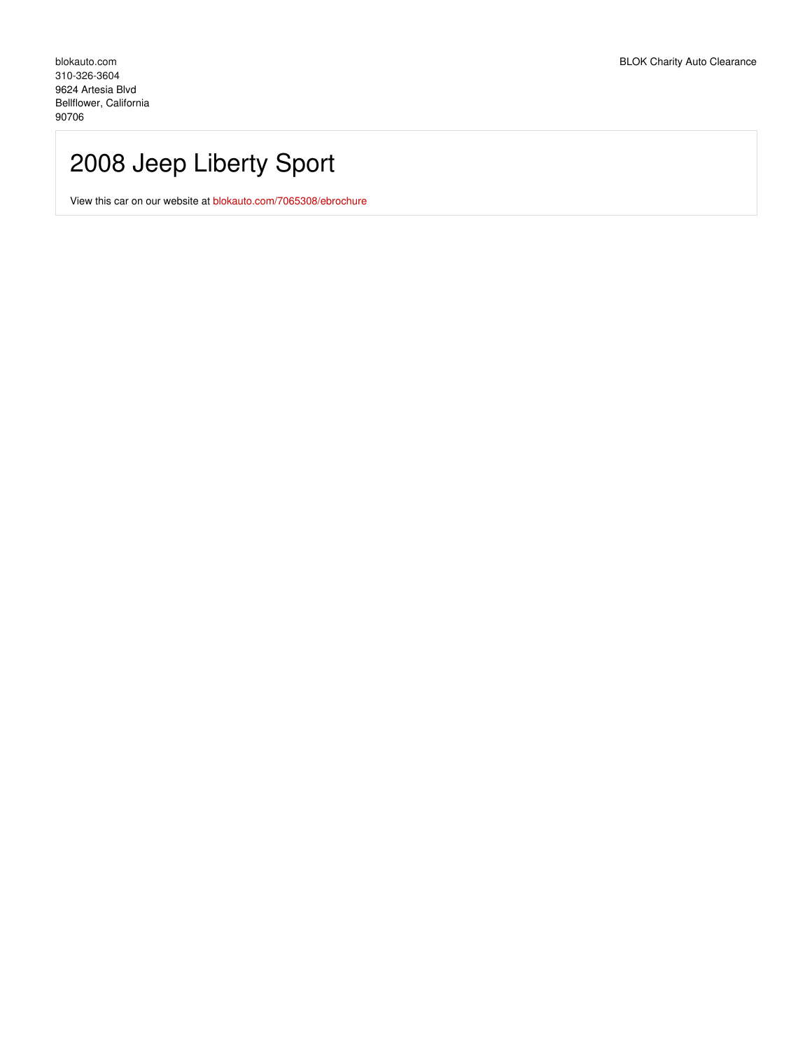# 2008 Jeep Liberty Sport

View this car on our website at [blokauto.com/7065308/ebrochure](https://blokauto.com/vehicle/7065308/2008-jeep-liberty-sport-bellflower-california-90706/7065308/ebrochure)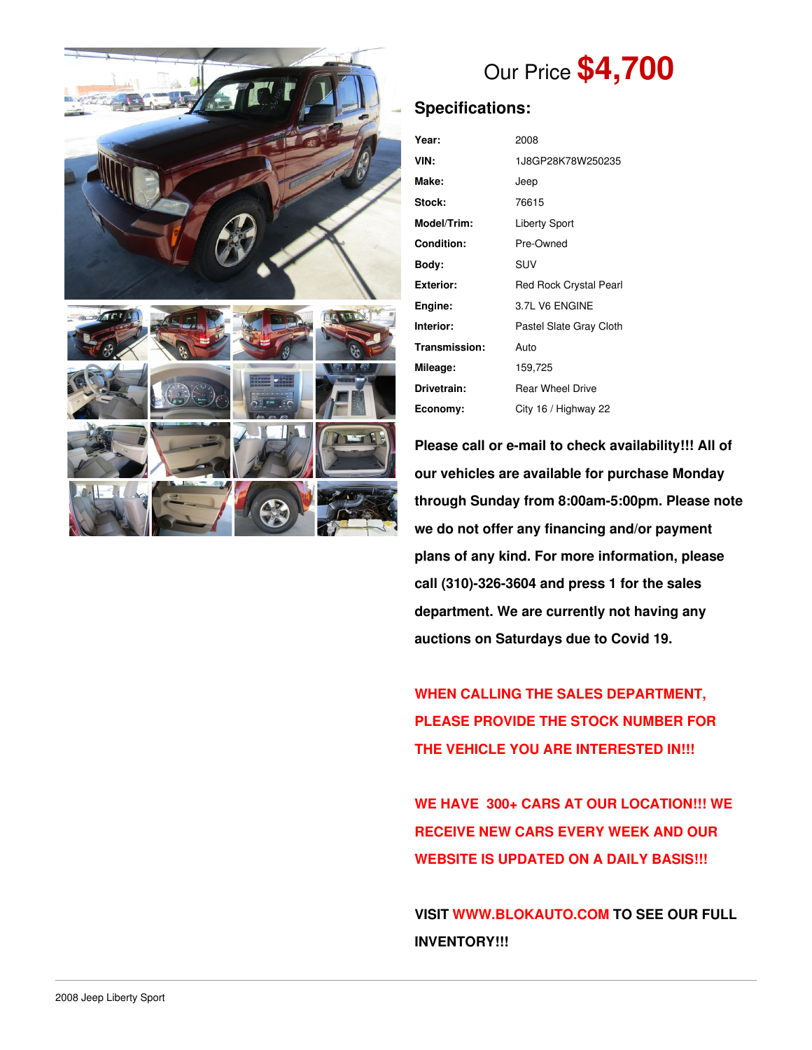

# Our Price **\$4,700**

## **Specifications:**

| Year:            | 2008                    |  |
|------------------|-------------------------|--|
| VIN:             | 1J8GP28K78W250235       |  |
| Make:            | Jeep                    |  |
| Stock:           | 76615                   |  |
| Model/Trim:      | <b>Liberty Sport</b>    |  |
| Condition:       | Pre-Owned               |  |
| Body:            | SUV                     |  |
| <b>Exterior:</b> | Red Rock Crystal Pearl  |  |
| Engine:          | 3.7L V6 ENGINE          |  |
| Interior:        | Pastel Slate Gray Cloth |  |
| Transmission:    | Auto                    |  |
| Mileage:         | 159,725                 |  |
| Drivetrain:      | <b>Rear Wheel Drive</b> |  |
| Economy:         | City 16 / Highway 22    |  |

**Please call or e-mail to check availability!!! All of our vehicles are available for purchase Monday through Sunday from 8:00am-5:00pm. Please note we do not offer any financing and/or payment plans of any kind. For more information, please call (310)-326-3604 and press 1 for the sales department. We are currently not having any auctions on Saturdays due to Covid 19.**

**WHEN CALLING THE SALES DEPARTMENT, PLEASE PROVIDE THE STOCK NUMBER FOR THE VEHICLE YOU ARE INTERESTED IN!!!**

**WE HAVE 300+ CARS AT OUR LOCATION!!! WE RECEIVE NEW CARS EVERY WEEK AND OUR WEBSITE IS UPDATED ON A DAILY BASIS!!!**

**VISIT [WWW.BLOKAUTO.COM](http://www.blockauto.com) TO SEE OUR FULL INVENTORY!!!**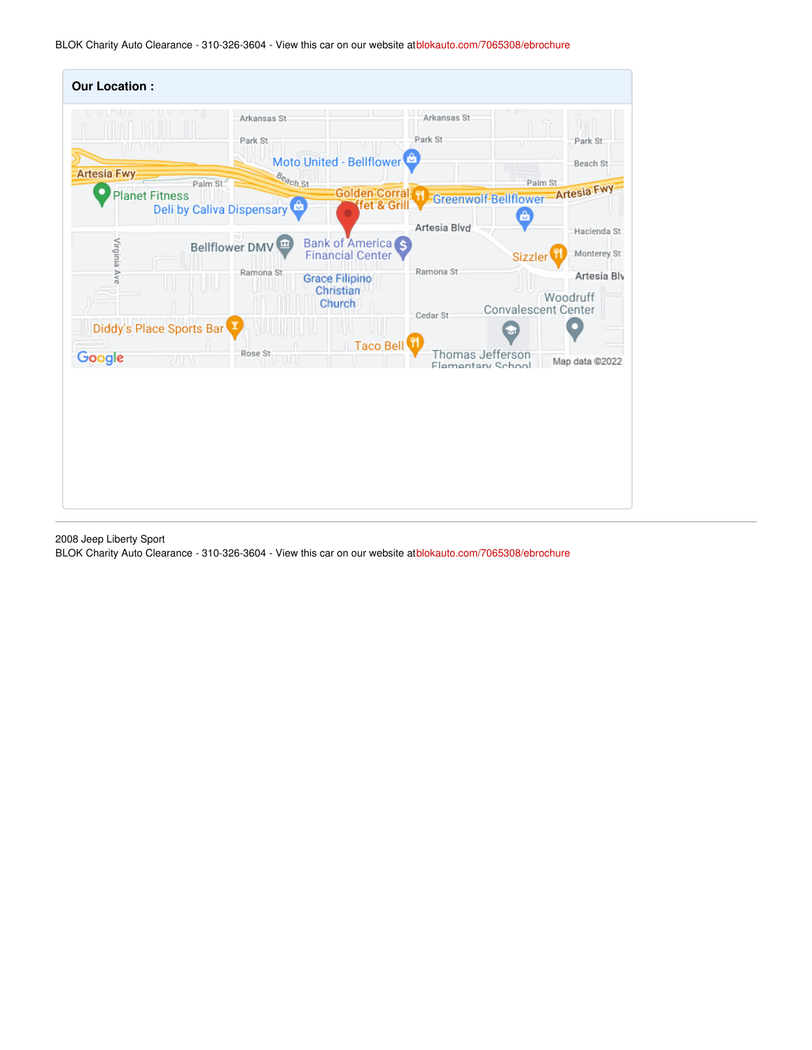BLOK Charity Auto Clearance - 310-326-3604 - View this car on our website at[blokauto.com/7065308/ebrochure](https://blokauto.com/vehicle/7065308/2008-jeep-liberty-sport-bellflower-california-90706/7065308/ebrochure)

| <b>Our Location:</b>                        |                                                         |                                                         |                                       |                                                       |
|---------------------------------------------|---------------------------------------------------------|---------------------------------------------------------|---------------------------------------|-------------------------------------------------------|
| nu u                                        | Arkansas St<br>Park St                                  | Moto United - Bellflower                                | Arkansas St<br>Park St<br>U           | Park St<br>Beach St                                   |
| <b>Artesia Fwy</b><br><b>Planet Fitness</b> | Beach St<br>Palm St<br><b>Deli by Caliva Dispensary</b> | <b>Golden Corral PI</b><br>fet & Grill                  | Greenwolf-Bellflower-Artesia Fwy<br>â | Palm St                                               |
| Virginia Ave                                | m<br><b>Bellflower DMV</b>                              | Bank of America <sub>S</sub><br><b>Financial Center</b> | Artesia Blvd<br>Ramona St             | Hacienda St<br>Monterey St:<br>Sizzler                |
|                                             | Ramona St                                               | <b>Grace Filipino</b><br>Christian<br><b>Church</b>     | Cedar St                              | Artesia Blv<br>Woodruff<br><b>Convalescent Center</b> |
| Diddy's Place Sports Bar                    |                                                         | Taco Bell                                               |                                       |                                                       |
| Google<br>カロキ                               | Rose St                                                 |                                                         | Thomas Jefferson<br>Flementary School | Map data @2022                                        |
|                                             |                                                         |                                                         |                                       |                                                       |

2008 Jeep Liberty Sport

BLOK Charity Auto Clearance - 310-326-3604 - View this car on our website at[blokauto.com/7065308/ebrochure](https://blokauto.com/vehicle/7065308/2008-jeep-liberty-sport-bellflower-california-90706/7065308/ebrochure)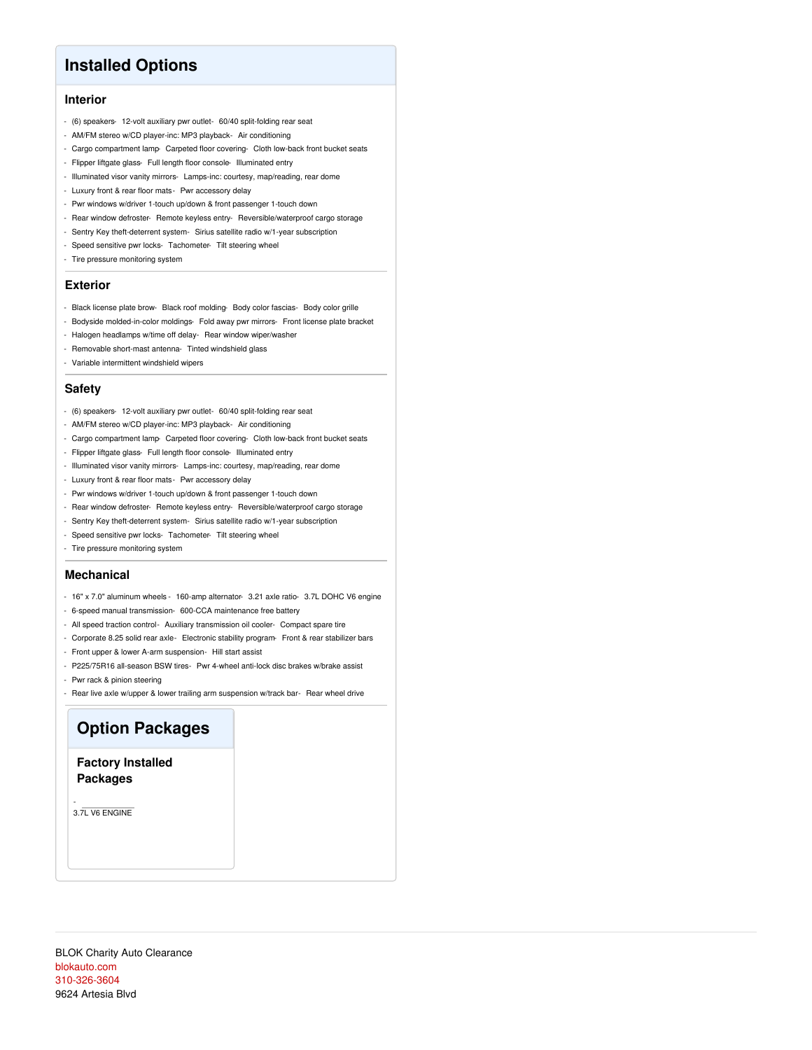## **Installed Options**

## **Interior**

- (6) speakers- 12-volt auxiliary pwr outlet- 60/40 split-folding rear seat
- AM/FM stereo w/CD player-inc: MP3 playback- Air conditioning
- Cargo compartment lamp- Carpeted floor covering- Cloth low-back front bucket seats
- Flipper liftgate glass- Full length floor console- Illuminated entry
- Illuminated visor vanity mirrors- Lamps-inc: courtesy, map/reading, rear dome
- Luxury front & rear floor mats- Pwr accessory delay
- Pwr windows w/driver 1-touch up/down & front passenger 1-touch down
- Rear window defroster- Remote keyless entry- Reversible/waterproof cargo storage
- Sentry Key theft-deterrent system- Sirius satellite radio w/1-year subscription
- Speed sensitive pwr locks- Tachometer- Tilt steering wheel
- Tire pressure monitoring system

### **Exterior**

- Black license plate brow- Black roof molding- Body color fascias- Body color grille
- Bodyside molded-in-color moldings- Fold away pwr mirrors- Front license plate bracket
- Halogen headlamps w/time off delay- Rear window wiper/washer
- Removable short-mast antenna- Tinted windshield glass
- Variable intermittent windshield wipers

### **Safety**

- (6) speakers- 12-volt auxiliary pwr outlet- 60/40 split-folding rear seat
- AM/FM stereo w/CD player-inc: MP3 playback- Air conditioning
- Cargo compartment lamp- Carpeted floor covering- Cloth low-back front bucket seats
- Flipper liftgate glass- Full length floor console- Illuminated entry
- Illuminated visor vanity mirrors- Lamps-inc: courtesy, map/reading, rear dome
- Luxury front & rear floor mats- Pwr accessory delay
- Pwr windows w/driver 1-touch up/down & front passenger 1-touch down
- Rear window defroster- Remote keyless entry- Reversible/waterproof cargo storage
- Sentry Key theft-deterrent system- Sirius satellite radio w/1-year subscription
- Speed sensitive pwr locks- Tachometer- Tilt steering wheel
- Tire pressure monitoring system

### **Mechanical**

- 16" x 7.0" aluminum wheels 160-amp alternator- 3.21 axle ratio- 3.7L DOHC V6 engine
- 6-speed manual transmission- 600-CCA maintenance free battery
- All speed traction control- Auxiliary transmission oil cooler- Compact spare tire
- Corporate 8.25 solid rear axle- Electronic stability program- Front & rear stabilizer bars
- Front upper & lower A-arm suspension- Hill start assist
- P225/75R16 all-season BSW tires- Pwr 4-wheel anti-lock disc brakes w/brake assist
- Pwr rack & pinion steering
- Rear live axle w/upper & lower trailing arm suspension w/track bar- Rear wheel drive

# **Option Packages**

**Factory Installed Packages**

- 3.7L V6 ENGINE